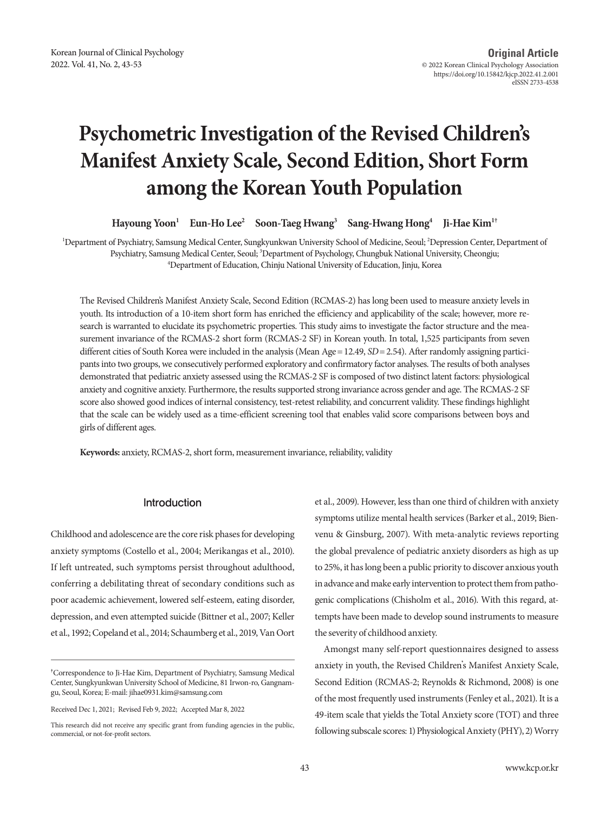# **Psychometric Investigation of the Revised Children's Manifest Anxiety Scale, Second Edition, Short Form among the Korean Youth Population**

**Hayoung Yoon1 Eun-Ho Lee2 Soon-Taeg Hwang3 Sang-Hwang Hong4 Ji-Hae Kim1†**

<sup>1</sup>Department of Psychiatry, Samsung Medical Center, Sungkyunkwan University School of Medicine, Seoul; <sup>2</sup>Depression Center, Department of Psychiatry, Samsung Medical Center, Seoul; <sup>3</sup>Department of Psychology, Chungbuk National University, Cheongju;<br><sup>4</sup>Department of Education, Chiniu National University of Education, Jiniu Korea Department of Education, Chinju National University of Education, Jinju, Korea

The Revised Children's Manifest Anxiety Scale, Second Edition (RCMAS-2) has long been used to measure anxiety levels in youth. Its introduction of a 10-item short form has enriched the efficiency and applicability of the scale; however, more research is warranted to elucidate its psychometric properties. This study aims to investigate the factor structure and the measurement invariance of the RCMAS-2 short form (RCMAS-2 SF) in Korean youth. In total, 1,525 participants from seven different cities of South Korea were included in the analysis (Mean Age= 12.49, *SD*= 2.54). After randomly assigning participants into two groups, we consecutively performed exploratory and confirmatory factor analyses. The results of both analyses demonstrated that pediatric anxiety assessed using the RCMAS-2 SF is composed of two distinct latent factors: physiological anxiety and cognitive anxiety. Furthermore, the results supported strong invariance across gender and age. The RCMAS-2 SF score also showed good indices of internal consistency, test-retest reliability, and concurrent validity. These findings highlight that the scale can be widely used as a time-efficient screening tool that enables valid score comparisons between boys and girls of different ages.

**Keywords:** anxiety, RCMAS-2, short form, measurement invariance, reliability, validity

### Introduction

Childhood and adolescence are the core risk phases for developing anxiety symptoms (Costello et al., 2004; Merikangas et al., 2010). If left untreated, such symptoms persist throughout adulthood, conferring a debilitating threat of secondary conditions such as poor academic achievement, lowered self-esteem, eating disorder, depression, and even attempted suicide (Bittner et al., 2007; Keller et al., 1992; Copeland et al., 2014; Schaumberg et al., 2019, Van Oort

Received Dec 1, 2021; Revised Feb 9, 2022; Accepted Mar 8, 2022

et al., 2009). However, less than one third of children with anxiety symptoms utilize mental health services (Barker et al., 2019; Bienvenu & Ginsburg, 2007). With meta-analytic reviews reporting the global prevalence of pediatric anxiety disorders as high as up to 25%, it has long been a public priority to discover anxious youth in advance and make early intervention to protect them from pathogenic complications (Chisholm et al., 2016). With this regard, attempts have been made to develop sound instruments to measure the severity of childhood anxiety.

Amongst many self-report questionnaires designed to assess anxiety in youth, the Revised Children's Manifest Anxiety Scale, Second Edition (RCMAS-2; Reynolds & Richmond, 2008) is one of the most frequently used instruments (Fenley et al., 2021). It is a 49-item scale that yields the Total Anxiety score (TOT) and three following subscale scores: 1) Physiological Anxiety (PHY), 2) Worry

**<sup>†</sup>** Correspondence to Ji-Hae Kim, Department of Psychiatry, Samsung Medical Center, Sungkyunkwan University School of Medicine, 81 Irwon-ro, Gangnamgu, Seoul, Korea; E-mail: jihae0931.kim@samsung.com

This research did not receive any specific grant from funding agencies in the public, commercial, or not-for-profit sectors.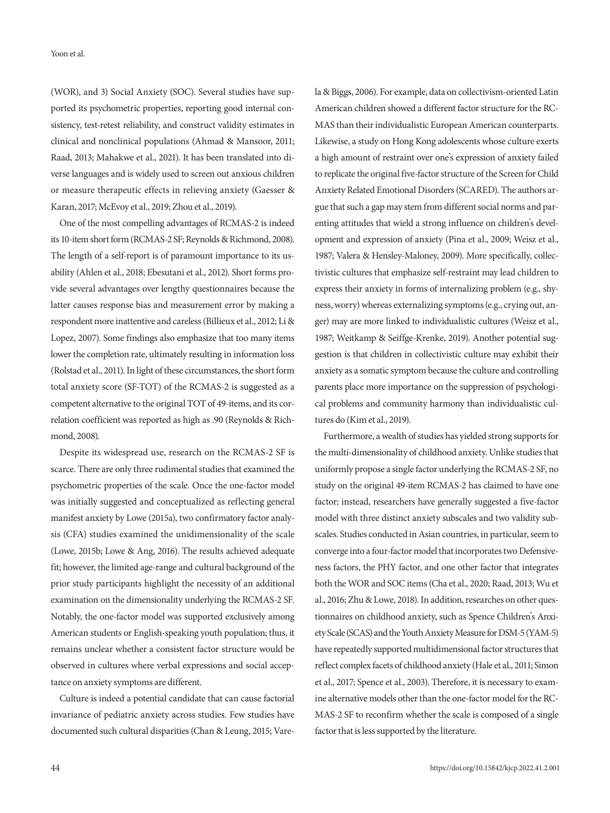Yoon et al.

(WOR), and 3) Social Anxiety (SOC). Several studies have supported its psychometric properties, reporting good internal consistency, test-retest reliability, and construct validity estimates in clinical and nonclinical populations (Ahmad & Mansoor, 2011; Raad, 2013; Mahakwe et al., 2021). It has been translated into diverse languages and is widely used to screen out anxious children or measure therapeutic effects in relieving anxiety (Gaesser & Karan, 2017; McEvoy et al., 2019; Zhou et al., 2019).

One of the most compelling advantages of RCMAS-2 is indeed its 10-item short form (RCMAS-2 SF; Reynolds & Richmond, 2008). The length of a self-report is of paramount importance to its usability (Ahlen et al., 2018; Ebesutani et al., 2012). Short forms provide several advantages over lengthy questionnaires because the latter causes response bias and measurement error by making a respondent more inattentive and careless (Billieux et al., 2012; Li & Lopez, 2007). Some findings also emphasize that too many items lower the completion rate, ultimately resulting in information loss (Rolstad et al., 2011). In light of these circumstances, the short form total anxiety score (SF-TOT) of the RCMAS-2 is suggested as a competent alternative to the original TOT of 49-items, and its correlation coefficient was reported as high as .90 (Reynolds & Richmond, 2008).

Despite its widespread use, research on the RCMAS-2 SF is scarce. There are only three rudimental studies that examined the psychometric properties of the scale. Once the one-factor model was initially suggested and conceptualized as reflecting general manifest anxiety by Lowe (2015a), two confirmatory factor analysis (CFA) studies examined the unidimensionality of the scale (Lowe, 2015b; Lowe & Ang, 2016). The results achieved adequate fit; however, the limited age-range and cultural background of the prior study participants highlight the necessity of an additional examination on the dimensionality underlying the RCMAS-2 SF. Notably, the one-factor model was supported exclusively among American students or English-speaking youth population; thus, it remains unclear whether a consistent factor structure would be observed in cultures where verbal expressions and social acceptance on anxiety symptoms are different.

Culture is indeed a potential candidate that can cause factorial invariance of pediatric anxiety across studies. Few studies have documented such cultural disparities (Chan & Leung, 2015; Varela & Biggs, 2006). For example, data on collectivism-oriented Latin American children showed a different factor structure for the RC-MAS than their individualistic European American counterparts. Likewise, a study on Hong Kong adolescents whose culture exerts a high amount of restraint over one's expression of anxiety failed to replicate the original five-factor structure of the Screen for Child Anxiety Related Emotional Disorders (SCARED). The authors argue that such a gap may stem from different social norms and parenting attitudes that wield a strong influence on children's development and expression of anxiety (Pina et al., 2009; Weisz et al., 1987; Valera & Hensley-Maloney, 2009). More specifically, collectivistic cultures that emphasize self-restraint may lead children to express their anxiety in forms of internalizing problem (e.g., shyness, worry) whereas externalizing symptoms (e.g., crying out, anger) may are more linked to individualistic cultures (Weisz et al., 1987; Weitkamp & Seiffge-Krenke, 2019). Another potential suggestion is that children in collectivistic culture may exhibit their anxiety as a somatic symptom because the culture and controlling parents place more importance on the suppression of psychological problems and community harmony than individualistic cultures do (Kim et al., 2019).

Furthermore, a wealth of studies has yielded strong supports for the multi-dimensionality of childhood anxiety. Unlike studies that uniformly propose a single factor underlying the RCMAS-2 SF, no study on the original 49-item RCMAS-2 has claimed to have one factor; instead, researchers have generally suggested a five-factor model with three distinct anxiety subscales and two validity subscales. Studies conducted in Asian countries, in particular, seem to converge into a four-factor model that incorporates two Defensiveness factors, the PHY factor, and one other factor that integrates both the WOR and SOC items (Cha et al., 2020; Raad, 2013; Wu et al., 2016; Zhu & Lowe, 2018). In addition, researches on other questionnaires on childhood anxiety, such as Spence Children's Anxiety Scale (SCAS) and the Youth Anxiety Measure for DSM-5 (YAM-5) have repeatedly supported multidimensional factor structures that reflect complex facets of childhood anxiety (Hale et al., 2011; Simon et al., 2017; Spence et al., 2003). Therefore, it is necessary to examine alternative models other than the one-factor model for the RC-MAS-2 SF to reconfirm whether the scale is composed of a single factor that is less supported by the literature.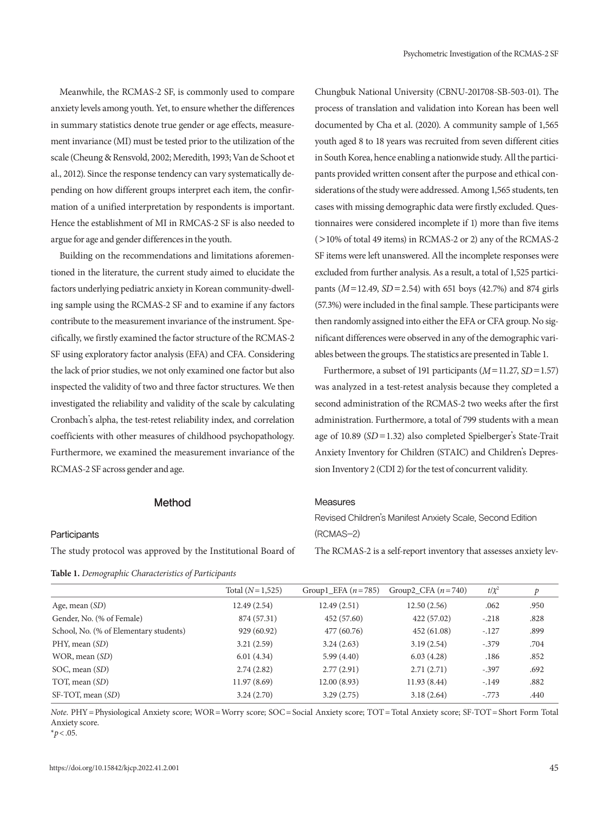Meanwhile, the RCMAS-2 SF, is commonly used to compare anxiety levels among youth. Yet, to ensure whether the differences in summary statistics denote true gender or age effects, measurement invariance (MI) must be tested prior to the utilization of the scale (Cheung & Rensvold, 2002; Meredith, 1993; Van de Schoot et al., 2012). Since the response tendency can vary systematically depending on how different groups interpret each item, the confirmation of a unified interpretation by respondents is important. Hence the establishment of MI in RMCAS-2 SF is also needed to argue for age and gender differences in the youth.

Building on the recommendations and limitations aforementioned in the literature, the current study aimed to elucidate the factors underlying pediatric anxiety in Korean community-dwelling sample using the RCMAS-2 SF and to examine if any factors contribute to the measurement invariance of the instrument. Specifically, we firstly examined the factor structure of the RCMAS-2 SF using exploratory factor analysis (EFA) and CFA. Considering the lack of prior studies, we not only examined one factor but also inspected the validity of two and three factor structures. We then investigated the reliability and validity of the scale by calculating Cronbach's alpha, the test-retest reliability index, and correlation coefficients with other measures of childhood psychopathology. Furthermore, we examined the measurement invariance of the RCMAS-2 SF across gender and age.

# Chungbuk National University (CBNU-201708-SB-503-01). The process of translation and validation into Korean has been well documented by Cha et al. (2020). A community sample of 1,565 youth aged 8 to 18 years was recruited from seven different cities in South Korea, hence enabling a nationwide study. All the participants provided written consent after the purpose and ethical considerations of the study were addressed. Among 1,565 students, ten cases with missing demographic data were firstly excluded. Questionnaires were considered incomplete if 1) more than five items (>10% of total 49 items) in RCMAS-2 or 2) any of the RCMAS-2 SF items were left unanswered. All the incomplete responses were excluded from further analysis. As a result, a total of 1,525 participants (*M*=12.49, *SD* =2.54) with 651 boys (42.7%) and 874 girls (57.3%) were included in the final sample. These participants were then randomly assigned into either the EFA or CFA group. No significant differences were observed in any of the demographic variables between the groups. The statistics are presented in Table 1.

Furthermore, a subset of 191 participants (*M*=11.27, *SD*=1.57) was analyzed in a test-retest analysis because they completed a second administration of the RCMAS-2 two weeks after the first administration. Furthermore, a total of 799 students with a mean age of 10.89 (*SD* =1.32) also completed Spielberger's State-Trait Anxiety Inventory for Children (STAIC) and Children's Depression Inventory 2 (CDI 2) for the test of concurrent validity.

# Method

#### **Participants**

The study protocol was approved by the Institutional Board of

**Table 1.** *Demographic Characteristics of Participants* 

#### Measures

Revised Children's Manifest Anxiety Scale, Second Edition (RCMAS-2)

The RCMAS-2 is a self-report inventory that assesses anxiety lev-

|                                        | Total $(N=1,525)$ | Group1 EFA $(n=785)$ | Group2_CFA $(n=740)$ | $t/\chi^2$ | p    |
|----------------------------------------|-------------------|----------------------|----------------------|------------|------|
| Age, mean $(SD)$                       | 12.49(2.54)       | 12.49(2.51)          | 12.50(2.56)          | .062       | .950 |
| Gender, No. (% of Female)              | 874 (57.31)       | 452 (57.60)          | 422 (57.02)          | $-.218$    | .828 |
| School, No. (% of Elementary students) | 929 (60.92)       | 477 (60.76)          | 452 (61.08)          | $-.127$    | .899 |
| PHY, mean (SD)                         | 3.21(2.59)        | 3.24(2.63)           | 3.19(2.54)           | $-.379$    | .704 |
| WOR, mean (SD)                         | 6.01(4.34)        | 5.99(4.40)           | 6.03(4.28)           | .186       | .852 |
| SOC, mean (SD)                         | 2.74(2.82)        | 2.77(2.91)           | 2.71(2.71)           | $-.397$    | .692 |
| TOT, mean (SD)                         | 11.97(8.69)       | 12.00(8.93)          | 11.93(8.44)          | $-.149$    | .882 |
| SF-TOT, mean (SD)                      | 3.24(2.70)        | 3.29(2.75)           | 3.18(2.64)           | $-.773$    | .440 |

*Note*. PHY = Physiological Anxiety score; WOR = Worry score; SOC = Social Anxiety score; TOT = Total Anxiety score; SF-TOT = Short Form Total Anxiety score.

 $*p$  < .05.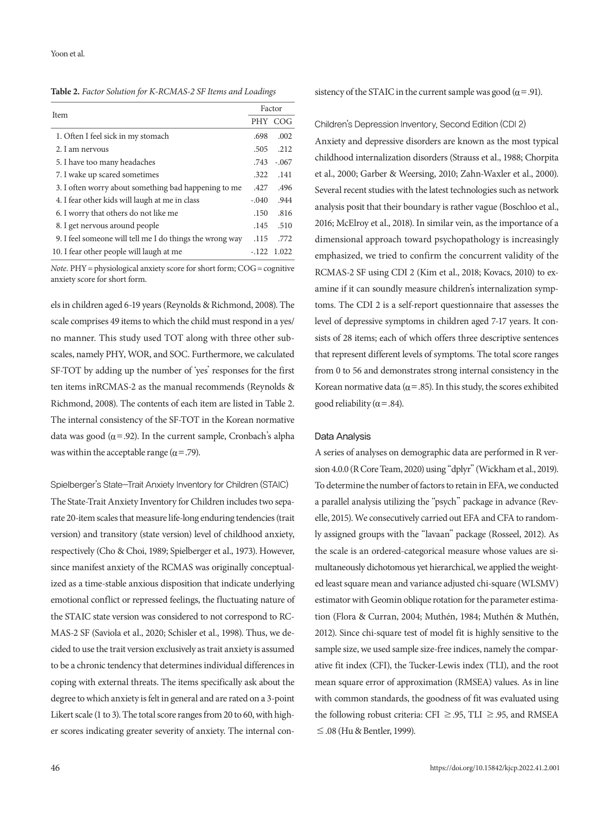**Table 2.** *Factor Solution for K-RCMAS-2 SF Items and Loadings*

| Item                                                     |         | Factor  |  |  |
|----------------------------------------------------------|---------|---------|--|--|
|                                                          |         | PHY COG |  |  |
| 1. Often I feel sick in my stomach                       | .698    | .002    |  |  |
| 2. I am nervous                                          | .505    | .212    |  |  |
| 5. I have too many headaches                             | .743    | $-.067$ |  |  |
| 7. I wake up scared sometimes                            | .322    | .141    |  |  |
| 3. I often worry about something bad happening to me     | .427    | .496    |  |  |
| 4. I fear other kids will laugh at me in class           | $-.040$ | .944    |  |  |
| 6. I worry that others do not like me                    | .150    | .816    |  |  |
| 8. I get nervous around people                           | .145    | .510    |  |  |
| 9. I feel someone will tell me I do things the wrong way | .115    | .772    |  |  |
| 10. I fear other people will laugh at me                 | $-122$  | 1.022   |  |  |

*Note*. PHY = physiological anxiety score for short form; COG = cognitive anxiety score for short form.

els in children aged 6-19 years (Reynolds & Richmond, 2008). The scale comprises 49 items to which the child must respond in a yes/ no manner. This study used TOT along with three other subscales, namely PHY, WOR, and SOC. Furthermore, we calculated SF-TOT by adding up the number of 'yes' responses for the first ten items inRCMAS-2 as the manual recommends (Reynolds & Richmond, 2008). The contents of each item are listed in Table 2. The internal consistency of the SF-TOT in the Korean normative data was good ( $\alpha$ =.92). In the current sample, Cronbach's alpha was within the acceptable range ( $\alpha$  = .79).

Spielberger's State-Trait Anxiety Inventory for Children (STAIC)

The State-Trait Anxiety Inventory for Children includes two separate 20-item scales that measure life-long enduring tendencies (trait version) and transitory (state version) level of childhood anxiety, respectively (Cho & Choi, 1989; Spielberger et al., 1973). However, since manifest anxiety of the RCMAS was originally conceptualized as a time-stable anxious disposition that indicate underlying emotional conflict or repressed feelings, the fluctuating nature of the STAIC state version was considered to not correspond to RC-MAS-2 SF (Saviola et al., 2020; Schisler et al., 1998). Thus, we decided to use the trait version exclusively as trait anxiety is assumed to be a chronic tendency that determines individual differences in coping with external threats. The items specifically ask about the degree to which anxiety is felt in general and are rated on a 3-point Likert scale (1 to 3). The total score ranges from 20 to 60, with higher scores indicating greater severity of anxiety. The internal consistency of the STAIC in the current sample was good ( $\alpha$ =.91).

#### Children's Depression Inventory, Second Edition (CDI 2)

Anxiety and depressive disorders are known as the most typical childhood internalization disorders (Strauss et al., 1988; Chorpita et al., 2000; Garber & Weersing, 2010; Zahn-Waxler et al., 2000). Several recent studies with the latest technologies such as network analysis posit that their boundary is rather vague (Boschloo et al., 2016; McElroy et al., 2018). In similar vein, as the importance of a dimensional approach toward psychopathology is increasingly emphasized, we tried to confirm the concurrent validity of the RCMAS-2 SF using CDI 2 (Kim et al., 2018; Kovacs, 2010) to examine if it can soundly measure children's internalization symptoms. The CDI 2 is a self-report questionnaire that assesses the level of depressive symptoms in children aged 7-17 years. It consists of 28 items; each of which offers three descriptive sentences that represent different levels of symptoms. The total score ranges from 0 to 56 and demonstrates strong internal consistency in the Korean normative data ( $\alpha$  = .85). In this study, the scores exhibited good reliability ( $\alpha$  = .84).

#### Data Analysis

A series of analyses on demographic data are performed in R version 4.0.0 (R Core Team, 2020) using "dplyr" (Wickham et al., 2019). To determine the number of factors to retain in EFA, we conducted a parallel analysis utilizing the "psych" package in advance (Revelle, 2015). We consecutively carried out EFA and CFA to randomly assigned groups with the "lavaan" package (Rosseel, 2012). As the scale is an ordered-categorical measure whose values are simultaneously dichotomous yet hierarchical, we applied the weighted least square mean and variance adjusted chi-square (WLSMV) estimator with Geomin oblique rotation for the parameter estimation (Flora & Curran, 2004; Muthén, 1984; Muthén & Muthén, 2012). Since chi-square test of model fit is highly sensitive to the sample size, we used sample size-free indices, namely the comparative fit index (CFI), the Tucker-Lewis index (TLI), and the root mean square error of approximation (RMSEA) values. As in line with common standards, the goodness of fit was evaluated using the following robust criteria: CFI  $\geq$  .95, TLI  $\geq$  .95, and RMSEA ≤.08 (Hu & Bentler, 1999).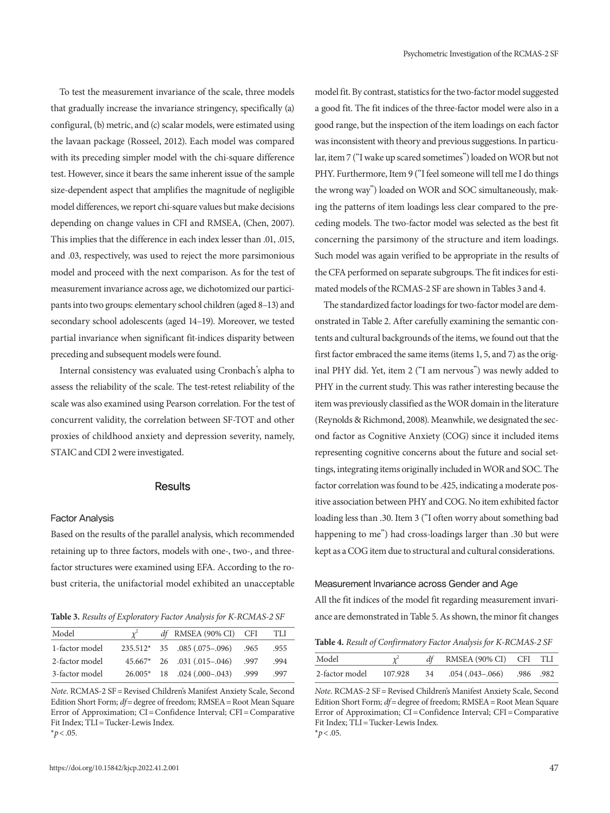To test the measurement invariance of the scale, three models that gradually increase the invariance stringency, specifically (a) configural, (b) metric, and (c) scalar models, were estimated using the lavaan package (Rosseel, 2012). Each model was compared with its preceding simpler model with the chi-square difference test. However, since it bears the same inherent issue of the sample size-dependent aspect that amplifies the magnitude of negligible model differences, we report chi-square values but make decisions depending on change values in CFI and RMSEA, (Chen, 2007). This implies that the difference in each index lesser than .01, .015, and .03, respectively, was used to reject the more parsimonious model and proceed with the next comparison. As for the test of measurement invariance across age, we dichotomized our participants into two groups: elementary school children (aged 8–13) and secondary school adolescents (aged 14–19). Moreover, we tested partial invariance when significant fit-indices disparity between preceding and subsequent models were found.

Internal consistency was evaluated using Cronbach's alpha to assess the reliability of the scale. The test-retest reliability of the scale was also examined using Pearson correlation. For the test of concurrent validity, the correlation between SF-TOT and other proxies of childhood anxiety and depression severity, namely, STAIC and CDI 2 were investigated.

#### **Results**

#### Factor Analysis

Based on the results of the parallel analysis, which recommended retaining up to three factors, models with one-, two-, and threefactor structures were examined using EFA. According to the robust criteria, the unifactorial model exhibited an unacceptable

| Model          |  | df RMSEA (90% CI) CFI               | TLI  |
|----------------|--|-------------------------------------|------|
| 1-factor model |  | $235.512*$ 35 .085 (.075-.096) .965 | .955 |
| 2-factor model |  | 45.667* 26 .031 (.015-.046) .997    | .994 |
| 3-factor model |  | 26.005* 18 .024 (.000-.043) .999    | .997 |

*Note*. RCMAS-2 SF = Revised Children's Manifest Anxiety Scale, Second Edition Short Form; *df*= degree of freedom; RMSEA= Root Mean Square Error of Approximation; CI = Confidence Interval; CFI = Comparative Fit Index; TLI = Tucker-Lewis Index.

 $*p$  < .05.

model fit. By contrast, statistics for the two-factor model suggested a good fit. The fit indices of the three-factor model were also in a good range, but the inspection of the item loadings on each factor was inconsistent with theory and previous suggestions. In particular, item 7 ("I wake up scared sometimes") loaded on WOR but not PHY. Furthermore, Item 9 ("I feel someone will tell me I do things the wrong way") loaded on WOR and SOC simultaneously, making the patterns of item loadings less clear compared to the preceding models. The two-factor model was selected as the best fit concerning the parsimony of the structure and item loadings. Such model was again verified to be appropriate in the results of the CFA performed on separate subgroups. The fit indices for estimated models of the RCMAS-2 SF are shown in Tables 3 and 4.

The standardized factor loadings for two-factor model are demonstrated in Table 2. After carefully examining the semantic contents and cultural backgrounds of the items, we found out that the first factor embraced the same items (items 1, 5, and 7) as the original PHY did. Yet, item 2 ("I am nervous") was newly added to PHY in the current study. This was rather interesting because the item was previously classified as the WOR domain in the literature (Reynolds & Richmond, 2008). Meanwhile, we designated the second factor as Cognitive Anxiety (COG) since it included items representing cognitive concerns about the future and social settings, integrating items originally included in WOR and SOC. The factor correlation was found to be .425, indicating a moderate positive association between PHY and COG. No item exhibited factor loading less than .30. Item 3 ("I often worry about something bad happening to me") had cross-loadings larger than .30 but were kept as a COG item due to structural and cultural considerations.

#### Measurement Invariance across Gender and Age

All the fit indices of the model fit regarding measurement invari-**Table 3.** *Results of Exploratory Factor Analysis for K-RCMAS-2 SF* ance are demonstrated in Table 5. As shown, the minor fit changes

**Table 4.** *Result of Confirmatory Factor Analysis for K-RCMAS-2 SF*

| Model                  |    | df RMSEA (90% CI) CFI TLI    |  |
|------------------------|----|------------------------------|--|
| 2-factor model 107.928 | 34 | .054 (.043 – .066) .986 .982 |  |

*Note*. RCMAS-2 SF = Revised Children's Manifest Anxiety Scale, Second Edition Short Form; *df*= degree of freedom; RMSEA= Root Mean Square Error of Approximation; CI = Confidence Interval; CFI = Comparative Fit Index; TLI = Tucker-Lewis Index.

 $*p$  < .05.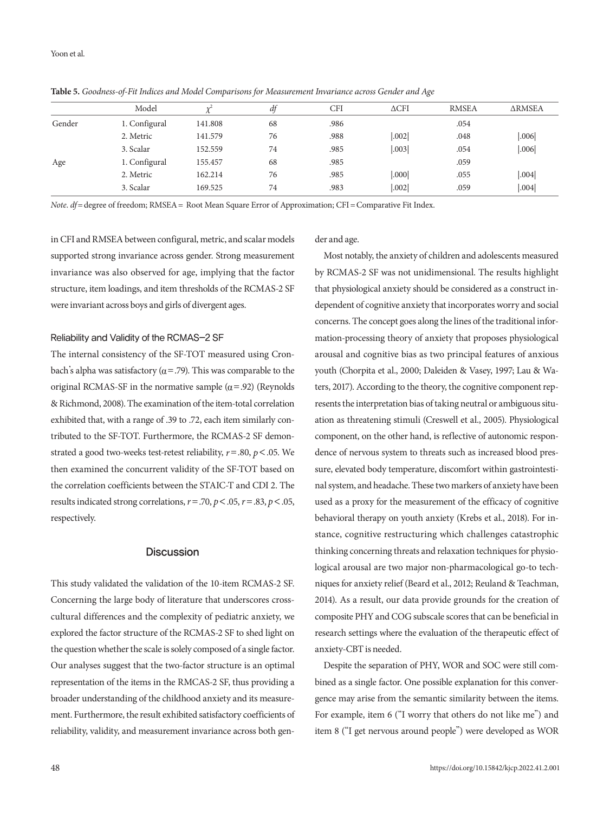|        | Model         |         | df | <b>CFI</b> | $\triangle CFI$   | <b>RMSEA</b> | <b>ARMSEA</b> |
|--------|---------------|---------|----|------------|-------------------|--------------|---------------|
| Gender | 1. Configural | 141.808 | 68 | .986       |                   | .054         |               |
|        | 2. Metric     | 141.579 | 76 | .988       | .002              | .048         | .006          |
|        | 3. Scalar     | 152.559 | 74 | .985       | .003              | .054         | .006          |
| Age    | 1. Configural | 155.457 | 68 | .985       |                   | .059         |               |
|        | 2. Metric     | 162.214 | 76 | .985       | .000 <sub>l</sub> | .055         | .004          |
|        | 3. Scalar     | 169.525 | 74 | .983       | .002              | .059         | .004          |
|        |               |         |    |            |                   |              |               |

**Table 5.** *Goodness-of-Fit Indices and Model Comparisons for Measurement Invariance across Gender and Age*

*Note*. *df*= degree of freedom; RMSEA = Root Mean Square Error of Approximation; CFI = Comparative Fit Index.

in CFI and RMSEA between configural, metric, and scalar models supported strong invariance across gender. Strong measurement invariance was also observed for age, implying that the factor structure, item loadings, and item thresholds of the RCMAS-2 SF were invariant across boys and girls of divergent ages.

#### Reliability and Validity of the RCMAS-2 SF

The internal consistency of the SF-TOT measured using Cronbach's alpha was satisfactory ( $α = .79$ ). This was comparable to the original RCMAS-SF in the normative sample  $(\alpha = .92)$  (Reynolds & Richmond, 2008). The examination of the item-total correlation exhibited that, with a range of .39 to .72, each item similarly contributed to the SF-TOT. Furthermore, the RCMAS-2 SF demonstrated a good two-weeks test-retest reliability, *r*=.80, *p*<.05. We then examined the concurrent validity of the SF-TOT based on the correlation coefficients between the STAIC-T and CDI 2. The results indicated strong correlations, *r*=.70, *p*<.05, *r*=.83, *p*<.05, respectively.

#### **Discussion**

This study validated the validation of the 10-item RCMAS-2 SF. Concerning the large body of literature that underscores crosscultural differences and the complexity of pediatric anxiety, we explored the factor structure of the RCMAS-2 SF to shed light on the question whether the scale is solely composed of a single factor. Our analyses suggest that the two-factor structure is an optimal representation of the items in the RMCAS-2 SF, thus providing a broader understanding of the childhood anxiety and its measurement. Furthermore, the result exhibited satisfactory coefficients of reliability, validity, and measurement invariance across both gender and age.

Most notably, the anxiety of children and adolescents measured by RCMAS-2 SF was not unidimensional. The results highlight that physiological anxiety should be considered as a construct independent of cognitive anxiety that incorporates worry and social concerns. The concept goes along the lines of the traditional information-processing theory of anxiety that proposes physiological arousal and cognitive bias as two principal features of anxious youth (Chorpita et al., 2000; Daleiden & Vasey, 1997; Lau & Waters, 2017). According to the theory, the cognitive component represents the interpretation bias of taking neutral or ambiguous situation as threatening stimuli (Creswell et al., 2005). Physiological component, on the other hand, is reflective of autonomic respondence of nervous system to threats such as increased blood pressure, elevated body temperature, discomfort within gastrointestinal system, and headache. These two markers of anxiety have been used as a proxy for the measurement of the efficacy of cognitive behavioral therapy on youth anxiety (Krebs et al., 2018). For instance, cognitive restructuring which challenges catastrophic thinking concerning threats and relaxation techniques for physiological arousal are two major non-pharmacological go-to techniques for anxiety relief (Beard et al., 2012; Reuland & Teachman, 2014). As a result, our data provide grounds for the creation of composite PHY and COG subscale scores that can be beneficial in research settings where the evaluation of the therapeutic effect of anxiety-CBT is needed.

Despite the separation of PHY, WOR and SOC were still combined as a single factor. One possible explanation for this convergence may arise from the semantic similarity between the items. For example, item 6 ("I worry that others do not like me") and item 8 ("I get nervous around people") were developed as WOR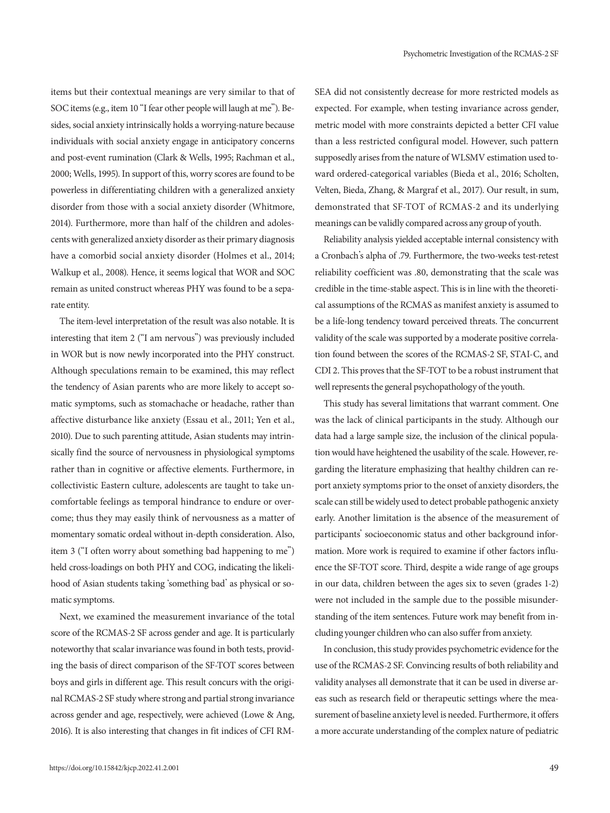items but their contextual meanings are very similar to that of SOC items (e.g., item 10 "I fear other people will laugh at me"). Besides, social anxiety intrinsically holds a worrying-nature because individuals with social anxiety engage in anticipatory concerns and post-event rumination (Clark & Wells, 1995; Rachman et al., 2000; Wells, 1995). In support of this, worry scores are found to be powerless in differentiating children with a generalized anxiety disorder from those with a social anxiety disorder (Whitmore, 2014). Furthermore, more than half of the children and adolescents with generalized anxiety disorder as their primary diagnosis have a comorbid social anxiety disorder (Holmes et al., 2014; Walkup et al., 2008). Hence, it seems logical that WOR and SOC remain as united construct whereas PHY was found to be a separate entity.

The item-level interpretation of the result was also notable. It is interesting that item 2 ("I am nervous") was previously included in WOR but is now newly incorporated into the PHY construct. Although speculations remain to be examined, this may reflect the tendency of Asian parents who are more likely to accept somatic symptoms, such as stomachache or headache, rather than affective disturbance like anxiety (Essau et al., 2011; Yen et al., 2010). Due to such parenting attitude, Asian students may intrinsically find the source of nervousness in physiological symptoms rather than in cognitive or affective elements. Furthermore, in collectivistic Eastern culture, adolescents are taught to take uncomfortable feelings as temporal hindrance to endure or overcome; thus they may easily think of nervousness as a matter of momentary somatic ordeal without in-depth consideration. Also, item 3 ("I often worry about something bad happening to me") held cross-loadings on both PHY and COG, indicating the likelihood of Asian students taking 'something bad' as physical or somatic symptoms.

Next, we examined the measurement invariance of the total score of the RCMAS-2 SF across gender and age. It is particularly noteworthy that scalar invariance was found in both tests, providing the basis of direct comparison of the SF-TOT scores between boys and girls in different age. This result concurs with the original RCMAS-2 SF study where strong and partial strong invariance across gender and age, respectively, were achieved (Lowe & Ang, 2016). It is also interesting that changes in fit indices of CFI RM-

SEA did not consistently decrease for more restricted models as expected. For example, when testing invariance across gender, metric model with more constraints depicted a better CFI value than a less restricted configural model. However, such pattern supposedly arises from the nature of WLSMV estimation used toward ordered-categorical variables (Bieda et al., 2016; Scholten, Velten, Bieda, Zhang, & Margraf et al., 2017). Our result, in sum, demonstrated that SF-TOT of RCMAS-2 and its underlying meanings can be validly compared across any group of youth.

Reliability analysis yielded acceptable internal consistency with a Cronbach's alpha of .79. Furthermore, the two-weeks test-retest reliability coefficient was .80, demonstrating that the scale was credible in the time-stable aspect. This is in line with the theoretical assumptions of the RCMAS as manifest anxiety is assumed to be a life-long tendency toward perceived threats. The concurrent validity of the scale was supported by a moderate positive correlation found between the scores of the RCMAS-2 SF, STAI-C, and CDI 2. This proves that the SF-TOT to be a robust instrument that well represents the general psychopathology of the youth.

This study has several limitations that warrant comment. One was the lack of clinical participants in the study. Although our data had a large sample size, the inclusion of the clinical population would have heightened the usability of the scale. However, regarding the literature emphasizing that healthy children can report anxiety symptoms prior to the onset of anxiety disorders, the scale can still be widely used to detect probable pathogenic anxiety early. Another limitation is the absence of the measurement of participants' socioeconomic status and other background information. More work is required to examine if other factors influence the SF-TOT score. Third, despite a wide range of age groups in our data, children between the ages six to seven (grades 1-2) were not included in the sample due to the possible misunderstanding of the item sentences. Future work may benefit from including younger children who can also suffer from anxiety.

In conclusion, this study provides psychometric evidence for the use of the RCMAS-2 SF. Convincing results of both reliability and validity analyses all demonstrate that it can be used in diverse areas such as research field or therapeutic settings where the measurement of baseline anxiety level is needed. Furthermore, it offers a more accurate understanding of the complex nature of pediatric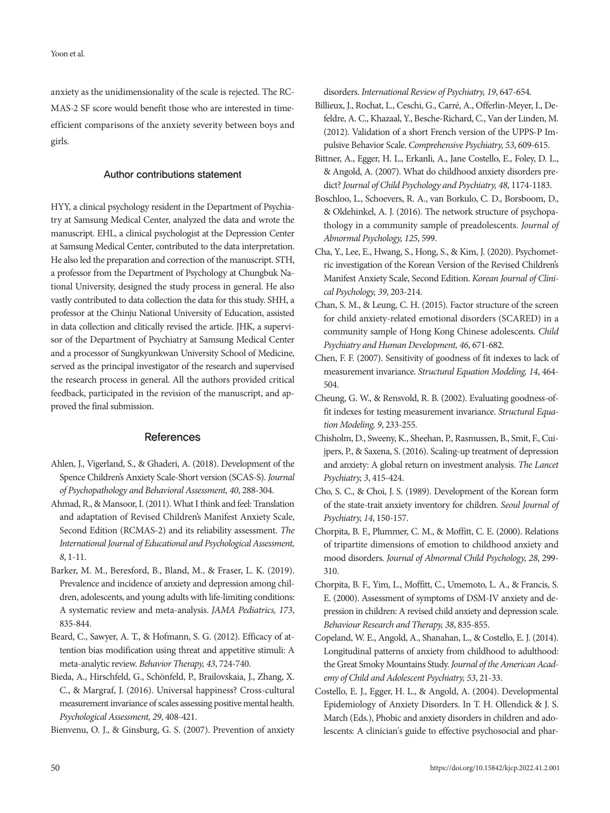anxiety as the unidimensionality of the scale is rejected. The RC-MAS-2 SF score would benefit those who are interested in timeefficient comparisons of the anxiety severity between boys and girls.

#### Author contributions statement

HYY, a clinical psychology resident in the Department of Psychiatry at Samsung Medical Center, analyzed the data and wrote the manuscript. EHL, a clinical psychologist at the Depression Center at Samsung Medical Center, contributed to the data interpretation. He also led the preparation and correction of the manuscript. STH, a professor from the Department of Psychology at Chungbuk National University, designed the study process in general. He also vastly contributed to data collection the data for this study. SHH, a professor at the Chinju National University of Education, assisted in data collection and clitically revised the article. JHK, a supervisor of the Department of Psychiatry at Samsung Medical Center and a processor of Sungkyunkwan University School of Medicine, served as the principal investigator of the research and supervised the research process in general. All the authors provided critical feedback, participated in the revision of the manuscript, and approved the final submission.

## **References**

- Ahlen, J., Vigerland, S., & Ghaderi, A. (2018). Development of the Spence Children's Anxiety Scale-Short version (SCAS-S). *Journal of Psychopathology and Behavioral Assessment, 40*, 288-304.
- Ahmad, R., & Mansoor, I. (2011). What I think and feel: Translation and adaptation of Revised Children's Manifest Anxiety Scale, Second Edition (RCMAS-2) and its reliability assessment. *The International Journal of Educational and Psychological Assessment, 8*, 1-11.
- Barker, M. M., Beresford, B., Bland, M., & Fraser, L. K. (2019). Prevalence and incidence of anxiety and depression among children, adolescents, and young adults with life-limiting conditions: A systematic review and meta-analysis. *JAMA Pediatrics, 173*, 835-844.
- Beard, C., Sawyer, A. T., & Hofmann, S. G. (2012). Efficacy of attention bias modification using threat and appetitive stimuli: A meta-analytic review. *Behavior Therapy, 43*, 724-740.
- Bieda, A., Hirschfeld, G., Schönfeld, P., Brailovskaia, J., Zhang, X. C., & Margraf, J. (2016). Universal happiness? Cross-cultural measurement invariance of scales assessing positive mental health. *Psychological Assessment, 29*, 408-421.

Bienvenu, O. J., & Ginsburg, G. S. (2007). Prevention of anxiety

disorders. *International Review of Psychiatry, 19*, 647-654.

- Billieux, J., Rochat, L., Ceschi, G., Carré, A., Offerlin-Meyer, I., Defeldre, A. C., Khazaal, Y., Besche-Richard, C., Van der Linden, M. (2012). Validation of a short French version of the UPPS-P Impulsive Behavior Scale. *Comprehensive Psychiatry, 53*, 609-615.
- Bittner, A., Egger, H. L., Erkanli, A., Jane Costello, E., Foley, D. L., & Angold, A. (2007). What do childhood anxiety disorders predict? *Journal of Child Psychology and Psychiatry, 48*, 1174-1183.
- Boschloo, L., Schoevers, R. A., van Borkulo, C. D., Borsboom, D., & Oldehinkel, A. J. (2016). The network structure of psychopathology in a community sample of preadolescents. *Journal of Abnormal Psychology, 125*, 599.
- Cha, Y., Lee, E., Hwang, S., Hong, S., & Kim, J. (2020). Psychometric investigation of the Korean Version of the Revised Children's Manifest Anxiety Scale, Second Edition. *Korean Journal of Clinical Psychology, 39*, 203-214.
- Chan, S. M., & Leung, C. H. (2015). Factor structure of the screen for child anxiety-related emotional disorders (SCARED) in a community sample of Hong Kong Chinese adolescents. *Child Psychiatry and Human Development, 46*, 671-682.
- Chen, F. F. (2007). Sensitivity of goodness of fit indexes to lack of measurement invariance. *Structural Equation Modeling, 14*, 464- 504.
- Cheung, G. W., & Rensvold, R. B. (2002). Evaluating goodness-offit indexes for testing measurement invariance. *Structural Equation Modeling, 9*, 233-255.
- Chisholm, D., Sweeny, K., Sheehan, P., Rasmussen, B., Smit, F., Cuijpers, P., & Saxena, S. (2016). Scaling-up treatment of depression and anxiety: A global return on investment analysis. *The Lancet Psychiatry, 3*, 415-424.
- Cho, S. C., & Choi, J. S. (1989). Development of the Korean form of the state-trait anxiety inventory for children. *Seoul Journal of Psychiatry, 14*, 150-157.
- Chorpita, B. F., Plummer, C. M., & Moffitt, C. E. (2000). Relations of tripartite dimensions of emotion to childhood anxiety and mood disorders. *Journal of Abnormal Child Psychology, 28*, 299- 310.
- Chorpita, B. F., Yim, L., Moffitt, C., Umemoto, L. A., & Francis, S. E. (2000). Assessment of symptoms of DSM-IV anxiety and depression in children: A revised child anxiety and depression scale. *Behaviour Research and Therapy, 38*, 835-855.
- Copeland, W. E., Angold, A., Shanahan, L., & Costello, E. J. (2014). Longitudinal patterns of anxiety from childhood to adulthood: the Great Smoky Mountains Study. *Journal of the American Academy of Child and Adolescent Psychiatry, 53*, 21-33.
- Costello, E. J., Egger, H. L., & Angold, A. (2004). Developmental Epidemiology of Anxiety Disorders. In T. H. Ollendick & J. S. March (Eds.), Phobic and anxiety disorders in children and adolescents: A clinician's guide to effective psychosocial and phar-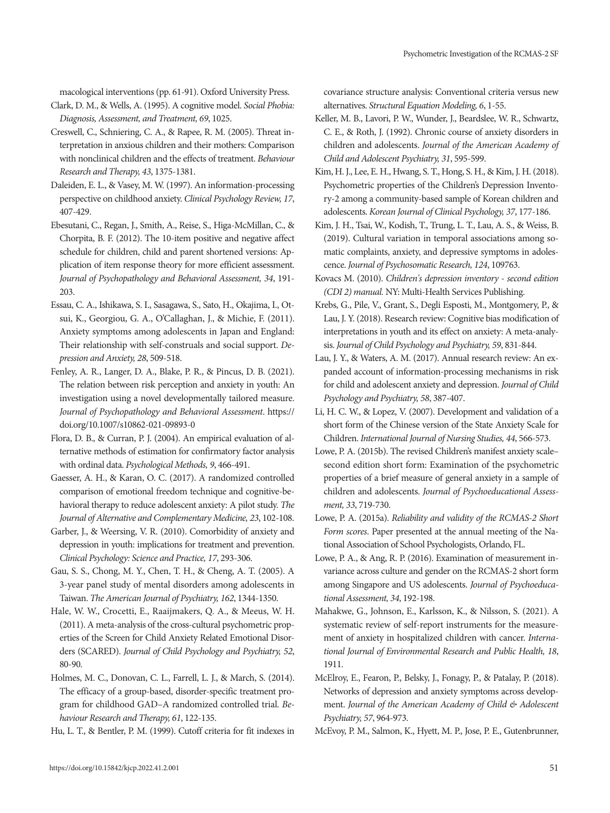macological interventions (pp. 61-91). Oxford University Press.

- Clark, D. M., & Wells, A. (1995). A cognitive model. *Social Phobia: Diagnosis, Assessment, and Treatment, 69*, 1025.
- Creswell, C., Schniering, C. A., & Rapee, R. M. (2005). Threat interpretation in anxious children and their mothers: Comparison with nonclinical children and the effects of treatment. *Behaviour Research and Therapy, 43*, 1375-1381.
- Daleiden, E. L., & Vasey, M. W. (1997). An information-processing perspective on childhood anxiety. *Clinical Psychology Review, 17*, 407-429.
- Ebesutani, C., Regan, J., Smith, A., Reise, S., Higa-McMillan, C., & Chorpita, B. F. (2012). The 10-item positive and negative affect schedule for children, child and parent shortened versions: Application of item response theory for more efficient assessment. *Journal of Psychopathology and Behavioral Assessment, 34*, 191- 203.
- Essau, C. A., Ishikawa, S. I., Sasagawa, S., Sato, H., Okajima, I., Otsui, K., Georgiou, G. A., O'Callaghan, J., & Michie, F. (2011). Anxiety symptoms among adolescents in Japan and England: Their relationship with self‐construals and social support. *Depression and Anxiety, 28*, 509-518.
- Fenley, A. R., Langer, D. A., Blake, P. R., & Pincus, D. B. (2021). The relation between risk perception and anxiety in youth: An investigation using a novel developmentally tailored measure. *Journal of Psychopathology and Behavioral Assessment*. https:// doi.org/10.1007/s10862-021-09893-0
- Flora, D. B., & Curran, P. J. (2004). An empirical evaluation of alternative methods of estimation for confirmatory factor analysis with ordinal data. *Psychological Methods, 9*, 466-491.
- Gaesser, A. H., & Karan, O. C. (2017). A randomized controlled comparison of emotional freedom technique and cognitive-behavioral therapy to reduce adolescent anxiety: A pilot study. *The Journal of Alternative and Complementary Medicine, 23*, 102-108.
- Garber, J., & Weersing, V. R. (2010). Comorbidity of anxiety and depression in youth: implications for treatment and prevention. *Clinical Psychology: Science and Practice, 17*, 293-306.
- Gau, S. S., Chong, M. Y., Chen, T. H., & Cheng, A. T. (2005). A 3-year panel study of mental disorders among adolescents in Taiwan. *The American Journal of Psychiatry, 162*, 1344-1350.
- Hale, W. W., Crocetti, E., Raaijmakers, Q. A., & Meeus, W. H. (2011). A meta‐analysis of the cross‐cultural psychometric properties of the Screen for Child Anxiety Related Emotional Disorders (SCARED). *Journal of Child Psychology and Psychiatry, 52*, 80-90.
- Holmes, M. C., Donovan, C. L., Farrell, L. J., & March, S. (2014). The efficacy of a group-based, disorder-specific treatment program for childhood GAD–A randomized controlled trial. *Behaviour Research and Therapy, 61*, 122-135.

Hu, L. T., & Bentler, P. M. (1999). Cutoff criteria for fit indexes in

covariance structure analysis: Conventional criteria versus new alternatives. *Structural Equation Modeling, 6*, 1-55.

- Keller, M. B., Lavori, P. W., Wunder, J., Beardslee, W. R., Schwartz, C. E., & Roth, J. (1992). Chronic course of anxiety disorders in children and adolescents. *Journal of the American Academy of Child and Adolescent Psychiatry, 31*, 595-599.
- Kim, H. J., Lee, E. H., Hwang, S. T., Hong, S. H., & Kim, J. H. (2018). Psychometric properties of the Children's Depression Inventory-2 among a community-based sample of Korean children and adolescents. *Korean Journal of Clinical Psychology, 37*, 177-186.
- Kim, J. H., Tsai, W., Kodish, T., Trung, L. T., Lau, A. S., & Weiss, B. (2019). Cultural variation in temporal associations among somatic complaints, anxiety, and depressive symptoms in adolescence. *Journal of Psychosomatic Research, 124*, 109763.
- Kovacs M. (2010). *Children's depression inventory second edition (CDI 2) manual.* NY: Multi-Health Services Publishing.
- Krebs, G., Pile, V., Grant, S., Degli Esposti, M., Montgomery, P., & Lau, J. Y. (2018). Research review: Cognitive bias modification of interpretations in youth and its effect on anxiety: A meta‐analysis. *Journal of Child Psychology and Psychiatry, 59*, 831-844.
- Lau, J. Y., & Waters, A. M. (2017). Annual research review: An expanded account of information‐processing mechanisms in risk for child and adolescent anxiety and depression. *Journal of Child Psychology and Psychiatry, 58*, 387-407.
- Li, H. C. W., & Lopez, V. (2007). Development and validation of a short form of the Chinese version of the State Anxiety Scale for Children. *International Journal of Nursing Studies, 44*, 566-573.
- Lowe, P. A. (2015b). The revised Children's manifest anxiety scale– second edition short form: Examination of the psychometric properties of a brief measure of general anxiety in a sample of children and adolescents. *Journal of Psychoeducational Assessment, 33*, 719-730.
- Lowe, P. A. (2015a). *Reliability and validity of the RCMAS-2 Short Form scores*. Paper presented at the annual meeting of the National Association of School Psychologists, Orlando, FL.
- Lowe, P. A., & Ang, R. P. (2016). Examination of measurement invariance across culture and gender on the RCMAS-2 short form among Singapore and US adolescents. *Journal of Psychoeducational Assessment, 34*, 192-198.
- Mahakwe, G., Johnson, E., Karlsson, K., & Nilsson, S. (2021). A systematic review of self-report instruments for the measurement of anxiety in hospitalized children with cancer. *International Journal of Environmental Research and Public Health, 18*, 1911.
- McElroy, E., Fearon, P., Belsky, J., Fonagy, P., & Patalay, P. (2018). Networks of depression and anxiety symptoms across development. *Journal of the American Academy of Child & Adolescent Psychiatry, 57*, 964-973.
- McEvoy, P. M., Salmon, K., Hyett, M. P., Jose, P. E., Gutenbrunner,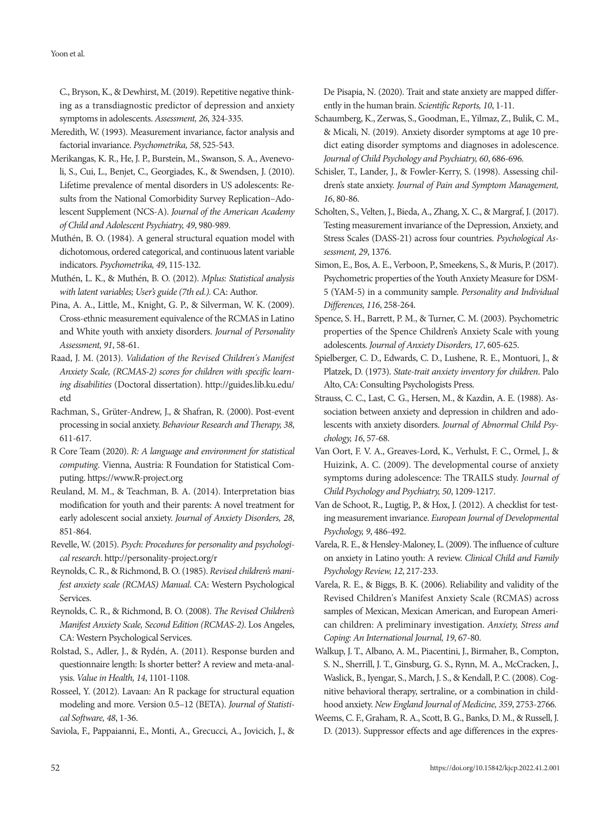#### Yoon et al.

C., Bryson, K., & Dewhirst, M. (2019). Repetitive negative thinking as a transdiagnostic predictor of depression and anxiety symptoms in adolescents. *Assessment, 26*, 324-335.

- Meredith, W. (1993). Measurement invariance, factor analysis and factorial invariance. *Psychometrika, 58*, 525-543.
- Merikangas, K. R., He, J. P., Burstein, M., Swanson, S. A., Avenevoli, S., Cui, L., Benjet, C., Georgiades, K., & Swendsen, J. (2010). Lifetime prevalence of mental disorders in US adolescents: Results from the National Comorbidity Survey Replication–Adolescent Supplement (NCS-A). *Journal of the American Academy of Child and Adolescent Psychiatry, 49*, 980-989.
- Muthén, B. O. (1984). A general structural equation model with dichotomous, ordered categorical, and continuous latent variable indicators. *Psychometrika, 49*, 115-132.
- Muthén, L. K., & Muthén, B. O. (2012). *Mplus: Statistical analysis with latent variables; User's guide (7th ed.).* CA: Author.
- Pina, A. A., Little, M., Knight, G. P., & Silverman, W. K. (2009). Cross-ethnic measurement equivalence of the RCMAS in Latino and White youth with anxiety disorders. *Journal of Personality Assessment, 91*, 58-61.
- Raad, J. M. (2013). *Validation of the Revised Children's Manifest Anxiety Scale, (RCMAS-2) scores for children with specific learning disabilities* (Doctoral dissertation). http://guides.lib.ku.edu/ etd
- Rachman, S., Grüter-Andrew, J., & Shafran, R. (2000). Post-event processing in social anxiety. *Behaviour Research and Therapy, 38*, 611-617.
- R Core Team (2020). *R: A language and environment for statistical computing*. Vienna, Austria: R Foundation for Statistical Computing. https://www.R-project.org
- Reuland, M. M., & Teachman, B. A. (2014). Interpretation bias modification for youth and their parents: A novel treatment for early adolescent social anxiety. *Journal of Anxiety Disorders, 28*, 851-864.
- Revelle, W. (2015). *Psych: Procedures for personality and psychological research*. http://personality-project.org/r
- Reynolds, C. R., & Richmond, B. O. (1985). *Revised children's manifest anxiety scale (RCMAS) Manual*. CA: Western Psychological Services.
- Reynolds, C. R., & Richmond, B. O. (2008). *The Revised Children's Manifest Anxiety Scale, Second Edition (RCMAS-2)*. Los Angeles, CA: Western Psychological Services.
- Rolstad, S., Adler, J., & Rydén, A. (2011). Response burden and questionnaire length: Is shorter better? A review and meta-analysis. *Value in Health, 14*, 1101-1108.
- Rosseel, Y. (2012). Lavaan: An R package for structural equation modeling and more. Version 0.5–12 (BETA). *Journal of Statistical Software, 48*, 1-36.
- Saviola, F., Pappaianni, E., Monti, A., Grecucci, A., Jovicich, J., &

De Pisapia, N. (2020). Trait and state anxiety are mapped differently in the human brain. *Scientific Reports, 10*, 1-11.

- Schaumberg, K., Zerwas, S., Goodman, E., Yilmaz, Z., Bulik, C. M., & Micali, N. (2019). Anxiety disorder symptoms at age 10 predict eating disorder symptoms and diagnoses in adolescence. *Journal of Child Psychology and Psychiatry, 60*, 686-696.
- Schisler, T., Lander, J., & Fowler-Kerry, S. (1998). Assessing children's state anxiety. *Journal of Pain and Symptom Management, 16*, 80-86.
- Scholten, S., Velten, J., Bieda, A., Zhang, X. C., & Margraf, J. (2017). Testing measurement invariance of the Depression, Anxiety, and Stress Scales (DASS-21) across four countries. *Psychological Assessment, 29*, 1376.
- Simon, E., Bos, A. E., Verboon, P., Smeekens, S., & Muris, P. (2017). Psychometric properties of the Youth Anxiety Measure for DSM-5 (YAM-5) in a community sample. *Personality and Individual Differences, 116*, 258-264.
- Spence, S. H., Barrett, P. M., & Turner, C. M. (2003). Psychometric properties of the Spence Children's Anxiety Scale with young adolescents. *Journal of Anxiety Disorders, 17*, 605-625.
- Spielberger, C. D., Edwards, C. D., Lushene, R. E., Montuori, J., & Platzek, D. (1973). *State-trait anxiety inventory for children*. Palo Alto, CA: Consulting Psychologists Press.
- Strauss, C. C., Last, C. G., Hersen, M., & Kazdin, A. E. (1988). Association between anxiety and depression in children and adolescents with anxiety disorders. *Journal of Abnormal Child Psychology, 16*, 57-68.
- Van Oort, F. V. A., Greaves‐Lord, K., Verhulst, F. C., Ormel, J., & Huizink, A. C. (2009). The developmental course of anxiety symptoms during adolescence: The TRAILS study. *Journal of Child Psychology and Psychiatry, 50*, 1209-1217.
- Van de Schoot, R., Lugtig, P., & Hox, J. (2012). A checklist for testing measurement invariance. *European Journal of Developmental Psychology, 9*, 486-492.
- Varela, R. E., & Hensley-Maloney, L. (2009). The influence of culture on anxiety in Latino youth: A review. *Clinical Child and Family Psychology Review, 12*, 217-233.
- Varela, R. E., & Biggs, B. K. (2006). Reliability and validity of the Revised Children's Manifest Anxiety Scale (RCMAS) across samples of Mexican, Mexican American, and European American children: A preliminary investigation. *Anxiety, Stress and Coping: An International Journal, 19*, 67-80.
- Walkup, J. T., Albano, A. M., Piacentini, J., Birmaher, B., Compton, S. N., Sherrill, J. T., Ginsburg, G. S., Rynn, M. A., McCracken, J., Waslick, B., Iyengar, S., March, J. S., & Kendall, P. C. (2008). Cognitive behavioral therapy, sertraline, or a combination in childhood anxiety. *New England Journal of Medicine, 359*, 2753-2766.
- Weems, C. F., Graham, R. A., Scott, B. G., Banks, D. M., & Russell, J. D. (2013). Suppressor effects and age differences in the expres-